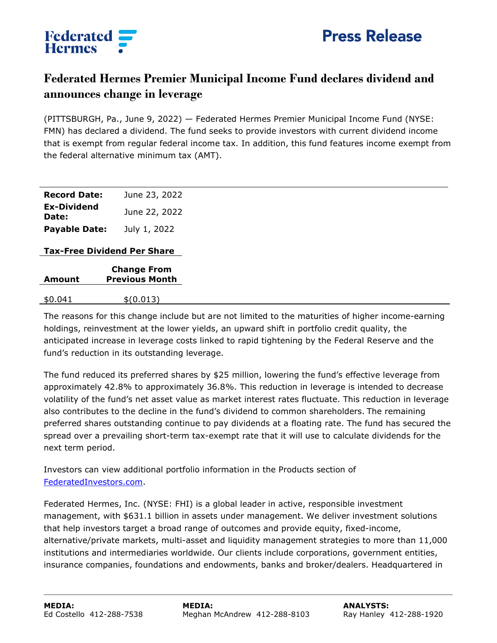

## **Federated**<br>**Hermes**

## **Federated Hermes Premier Municipal Income Fund declares dividend and announces change in leverage**

(PITTSBURGH, Pa., June 9, 2022) — Federated Hermes Premier Municipal Income Fund (NYSE: FMN) has declared a dividend. The fund seeks to provide investors with current dividend income that is exempt from regular federal income tax. In addition, this fund features income exempt from the federal alternative minimum tax (AMT).

| <b>Record Date:</b>         | June 23, 2022 |
|-----------------------------|---------------|
| <b>Ex-Dividend</b><br>Date: | June 22, 2022 |
| <b>Payable Date:</b>        | July 1, 2022  |

## **Tax-Free Dividend Per Share**

| Amount  | <b>Change From</b><br><b>Previous Month</b> |
|---------|---------------------------------------------|
| \$0.041 | \$(0.013)                                   |

The reasons for this change include but are not limited to the maturities of higher income-earning holdings, reinvestment at the lower yields, an upward shift in portfolio credit quality, the anticipated increase in leverage costs linked to rapid tightening by the Federal Reserve and the fund's reduction in its outstanding leverage.

The fund reduced its preferred shares by \$25 million, lowering the fund's effective leverage from approximately 42.8% to approximately 36.8%. This reduction in leverage is intended to decrease volatility of the fund's net asset value as market interest rates fluctuate. This reduction in leverage also contributes to the decline in the fund's dividend to common shareholders. The remaining preferred shares outstanding continue to pay dividends at a floating rate. The fund has secured the spread over a prevailing short-term tax-exempt rate that it will use to calculate dividends for the next term period.

Investors can view additional portfolio information in the Products section of [FederatedInvestors.com.](https://www.FederatedInvestors.com)

Federated Hermes, Inc. (NYSE: FHI) is a global leader in active, responsible investment management, with \$631.1 billion in assets under management. We deliver investment solutions that help investors target a broad range of outcomes and provide equity, fixed-income, alternative/private markets, multi-asset and liquidity management strategies to more than 11,000 institutions and intermediaries worldwide. Our clients include corporations, government entities, insurance companies, foundations and endowments, banks and broker/dealers. Headquartered in